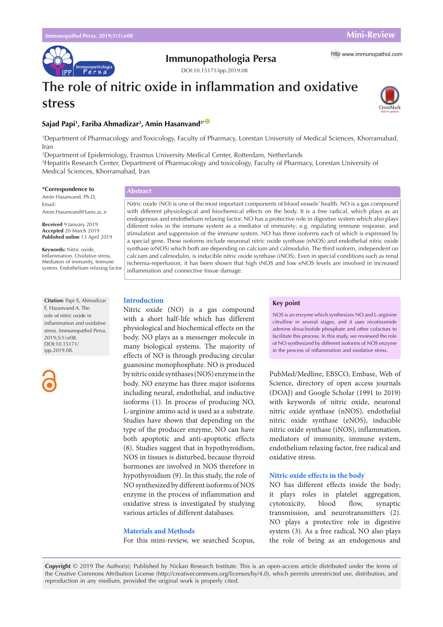munopathologia<br>Persa

**Immunopathologia Persa** http [www.immunopathol.com](http://www.immunopathol.com)

# **The role of nitric oxide in inflammation and oxidative stress**

DOI[:10.15171/ipp.2019.08](https://doi.org/10.15171/ipp.2019.08)



# **Sajad Papi1 , Fariba Ahmadizar2 , Amin Hasanvand3\*** [ID](https://orcid.org/0000-0003-0837-7542)

1 Department of Pharmacology and Toxicology, Faculty of Pharmacy, Lorestan University of Medical Sciences, Khorramabad, Iran

2 Department of Epidemiology, Erasmus University Medical Center, Rotterdam, Netherlands

3 Hepatitis Research Center, Department of Pharmacology and toxicology, Faculty of Pharmacy, Lorestan University of Medical Sciences, Khorramabad, Iran

# **\*Correspondence to**

Amin Hasanvand, Ph.D, Email: Amin.Hasanvand@lums.ac.ir

**Received** 9 January 2019 **Accepted** 20 March 2019 **Published online** 13 April 2019

**Keywords:** Nitric oxide, Inflammation, Oxidative stress, Mediators of immunity, Immune system, Endothelium relaxing factor

**Citation:** Papi S, Ahmadizar F, Hasanvand A. The role of nitric oxide in inflammation and oxidative stress. Immunopathol Persa. 2019;5(1):e08. DOI:10.15171/ ipp.2019.08.



# **Abstract**

Nitric oxide (NO) is one of the most important components of blood vessels' health. NO is a gas compound with different physiological and biochemical effects on the body. It is a free radical, which plays as an endogenous and endothelium relaxing factor. NO has a protective role in digestive system which also plays different roles in the immune system as a mediator of immunity; e.g. regulating immune response, and stimulation and suppression of the immune system. NO has three isoforms each of which is expressed by a special gene. These isoforms include neuronal nitric oxide synthase (nNOS) and endothelial nitric oxide synthase (eNOS) which both are depending on calcium and calmodulin. The third isoform, independent on calcium and calmodulin, is inducible nitric oxide synthase (iNOS). Even in special conditions such as renal ischemia-reperfusion, it has been shown that high iNOS and low eNOS levels are involved in increased inflammation and connective tissue damage.

# **Introduction**

Nitric oxide (NO) is a gas compound with a short half-life which has different physiological and biochemical effects on the body. NO plays as a messenger molecule in many biological systems. The majority of effects of NO is through producing circular guanosine monophosphate. NO is produced by nitric oxide synthases (NOS) enzyme in the body. NO enzyme has three major isoforms including neural, endothelial, and inductive isoforms (1). In process of producing NO, L-arginine amino acid is used as a substrate. Studies have shown that depending on the type of the producer enzyme, NO can have both apoptotic and anti-apoptotic effects (8). Studies suggest that in hypothyroidism, NOS in tissues is disturbed, because thyroid hormones are involved in NOS therefore in hypothyroidism (9). In this study, the role of NO synthesized by different isoforms of NOS enzyme in the process of inflammation and oxidative stress is investigated by studying various articles of different databases.

### **Materials and Methods**

For this mini-review, we searched Scopus,

### **Key point**

NOS is an enzyme which synthesizes NO and L-arginine citrulline in several stages, and it uses nicotinamide adenine dinucleotide phosphate and other cofactors to facilitate this process. In this study, we reviewed the role of NO synthesized by different isoforms of NOS enzyme in the process of inflammation and oxidative stress.

PubMed/Medline, EBSCO, Embase, Web of Science, directory of open access journals (DOAJ) and Google Scholar (1991 to 2019) with keywords of nitric oxide, neuronal nitric oxide synthase (nNOS), endothelial nitric oxide synthase (eNOS), inducible nitric oxide synthase (iNOS), inflammation, mediators of immunity, immune system, endothelium relaxing factor, free radical and oxidative stress.

# **Nitric oxide effects in the body**

NO has different effects inside the body; it plays roles in platelet aggregation, cytotoxicity, blood flow, synaptic transmission, and neurotransmitters (2). NO plays a protective role in digestive system (3). As a free radical, NO also plays the role of being as an endogenous and

**Copyright** © 2019 The Author(s); Published by Nickan Research Institute. This is an open-access article distributed under the terms of the Creative Commons Attribution License (http://creativecommons.org/licenses/by/4.0), which permits unrestricted use, distribution, and reproduction in any medium, provided the original work is properly cited.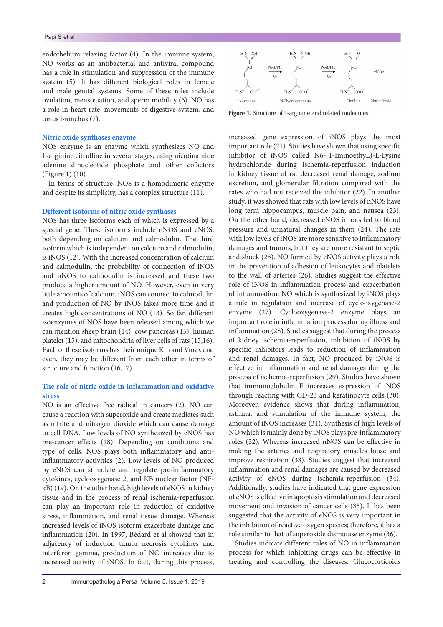endothelium relaxing factor (4). In the immune system, NO works as an antibacterial and antiviral compound has a role in stimulation and suppression of the immune system (5). It has different biological roles in female and male genital systems. Some of these roles include ovulation, menstruation, and sperm mobility (6). NO has a role in heart rate, movements of digestive system, and tonus bronchus (7).

# **Nitric oxide synthases enzyme**

NOS enzyme is an enzyme which synthesizes NO and L-arginine citrulline in several stages, using nicotinamide adenine dinucleotide phosphate and other cofactors (Figure 1) (10).

In terms of structure, NOS is a homodimeric enzyme and despite its simplicity, has a complex structure (11).

# **Different isoforms of nitric oxide synthases**

NOS has three isoforms each of which is expressed by a special gene. These isoforms include nNOS and eNOS, both depending on calcium and calmodulin. The third isoform which is independent on calcium and calmodulin, is iNOS (12). With the increased concentration of calcium and calmodulin, the probability of connection of iNOS and nNOS to calmodulin is increased and these two produce a higher amount of NO. However, even in very little amounts of calcium, iNOS can connect to calmodulin and production of NO by iNOS takes more time and it creates high concentrations of NO (13). So far, different isoenzymes of NOS have been released among which we can mention sheep brain (14), cow pancreas (15), human platelet (15), and mitochondria of liver cells of rats (15,16). Each of these isoforms has their unique Km and Vmax and even, they may be different from each other in terms of structure and function (16,17).

# **The role of nitric oxide in inflammation and oxidative stress**

NO is an effective free radical in cancers (2). NO can cause a reaction with superoxide and create mediates such as nitrite and nitrogen dioxide which can cause damage to cell DNA. Low levels of NO synthesized by eNOS has pre-cancer effects (18). Depending on conditions and type of cells, NOS plays both inflammatory and antiinflammatory activities (2). Low levels of NO produced by eNOS can stimulate and regulate pre-inflammatory cytokines, cyclooxygenase 2, and KB nuclear factor (NFκB) (19). On the other hand, high levels of eNOS in kidney tissue and in the process of renal ischemia-reperfusion can play an important role in reduction of oxidative stress, inflammation, and renal tissue damage. Whereas increased levels of iNOS isoform exacerbate damage and inflammation (20). In 1997, Bédard et al showed that in adjacency of induction tumor necrosis cytokines and interferon gamma, production of NO increases due to increased activity of iNOS. In fact, during this process,



**Figure 1.** Structure of L-arginine and related molecules.

increased gene expression of iNOS plays the most important role (21). Studies have shown that using specific inhibitor of iNOS called N6-(1-IminoethyL)-L-Lysine hydrochloride during ischemia-reperfusion induction in kidney tissue of rat decreased renal damage, sodium excretion, and glomerular filtration compared with the rates who had not received the inhibitor (22). In another study, it was showed that rats with low levels of nNOS have long term hippocampus, muscle pain, and nausea (23). On the other hand, decreased eNOS in rats led to blood pressure and unnatural changes in them (24). The rats with low levels of iNOS are more sensitive to inflammatory damages and tumors, but they are more resistant to septic and shock (25). NO formed by eNOS activity plays a role in the prevention of adhesion of leukocytes and platelets to the wall of arteries (26). Studies suggest the effective role of iNOS in inflammation process and exacerbation of inflammation. NO which is synthesized by iNOS plays a role in regulation and increase of cyclooxygenase-2 enzyme (27). Cyclooxygenase-2 enzyme plays an important role in inflammation process during illness and inflammation (28). Studies suggest that during the process of kidney ischemia-reperfusion, inhibition of iNOS by specific inhibitors leads to reduction of inflammation and renal damages. In fact, NO produced by iNOS is effective in inflammation and renal damages during the process of ischemia-reperfusion (29). Studies have shown that immunoglobulin E increases expression of iNOS through reacting with CD-23 and keratinocyte cells (30). Moreover, evidence shows that during inflammation, asthma, and stimulation of the immune system, the amount of iNOS increases (31). Synthesis of high levels of NO which is mainly done by iNOS plays pre-inflammatory roles (32). Whereas increased nNOS can be effective in making the arteries and respiratory muscles loose and improve respiration (33). Studies suggest that increased inflammation and renal damages are caused by decreased activity of eNOS during ischemia-reperfusion (34). Additionally, studies have indicated that gene expression of eNOS is effective in apoptosis stimulation and decreased movement and invasion of cancer cells (35). It has been suggested that the activity of eNOS is very important in the inhibition of reactive oxygen species; therefore, it has a role similar to that of superoxide dismutase enzyme (36).

Studies indicate different roles of NO in inflammation process for which inhibiting drugs can be effective in treating and controlling the diseases. Glucocorticoids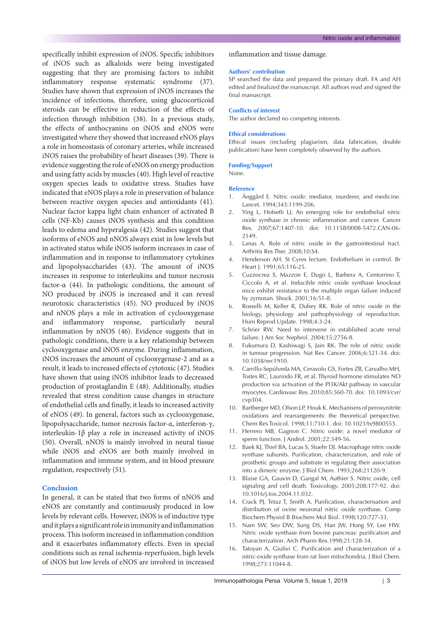specifically inhibit expression of iNOS. Specific inhibitors of iNOS such as alkaloids were being investigated suggesting that they are promising factors to inhibit inflammatory response systematic syndrome (37). Studies have shown that expression of iNOS increases the incidence of infections, therefore, using glucocorticoid steroids can be effective in reduction of the effects of infection through inhibition (38). In a previous study, the effects of anthocyanins on iNOS and eNOS were investigated where they showed that increased eNOS plays a role in homeostasis of coronary arteries, while increased iNOS raises the probability of heart diseases (39). There is evidence suggesting the role of eNOS on energy production and using fatty acids by muscles (40). High level of reactive oxygen species leads to oxidative stress. Studies have indicated that eNOS plays a role in preservation of balance between reactive oxygen species and antioxidants (41). Nuclear factor kappa light chain enhancer of activated B cells (NF-Kb) causes iNOS synthesis and this condition leads to edema and hyperalgesia (42). Studies suggest that isoforms of eNOS and nNOS always exist in low levels but in activated status while iNOS isoform increases in case of inflammation and in response to inflammatory cytokines and lipopolysaccharides (43). The amount of iNOS increases in response to interleukins and tumor necrosis factor-α (44). In pathologic conditions, the amount of NO produced by iNOS is increased and it can reveal neurotoxic characteristics (45). NO produced by iNOS and nNOS plays a role in activation of cyclooxygenase and inflammatory response, particularly neural inflammation by nNOS (46). Evidence suggests that in pathologic conditions, there is a key relationship between cyclooxygenase and iNOS enzyme. During inflammation, iNOS increases the amount of cyclooxygenase-2 and as a result, it leads to increased effects of cytotoxic (47). Studies have shown that using iNOS inhibitor leads to decreased production of prostaglandin E (48). Additionally, studies revealed that stress condition cause changes in structure of endothelial cells and finally, it leads to increased activity of eNOS (49). In general, factors such as cyclooxygenase, lipopolysaccharide, tumor necrosis factor-α, interferon-γ, interleukin‐1β play a role in increased activity of iNOS (50). Overall, nNOS is mainly involved in neural tissue while iNOS and eNOS are both mainly involved in inflammation and immune system, and in blood pressure regulation, respectively (51).

# **Conclusion**

In general, it can be stated that two forms of nNOS and eNOS are constantly and continuously produced in low levels by relevant cells. However, iNOS is of inductive type and it plays a significant role in immunity and inflammation process. This isoform increased in inflammation condition and it exacerbates inflammatory effects. Even in special conditions such as renal ischemia-reperfusion, high levels of iNOS but low levels of eNOS are involved in increased

inflammation and tissue damage.

#### **Authors' contribution**

SP searched the data and prepared the primary draft. FA and AH edited and finalized the manuscript. All authors read and signed the final manuscript.

# **Conflicts of interest**

The author declared no competing interests.

# **Ethical considerations**

Ethical issues (including plagiarism, data fabrication, double publication) have been completely observed by the authors.

### **Funding/Support**

None.

#### **Reference**

- 1. Änggård E. Nitric oxide: mediator, murderer, and medicine. Lancet. 1994;343:1199-206.
- Ying L, Hofseth LJ. An emerging role for endothelial nitric oxide synthase in chronic inflammation and cancer. Cancer Res. 2007;67:1407-10. doi: 10.1158/0008-5472.CAN-06- 2149.
- 3. Lanas A. Role of nitric oxide in the gastrointestinal tract. Arthritis Res Ther. 2008;10:S4.
- 4. Henderson AH. St Cyres lecture. Endothelium in control. Br Heart J. 1991;65:116-25.
- 5. Cuzzocrea S, Mazzon E, Dugo L, Barbera A, Centorrino T, Ciccolo A, et al. Inducible nitric oxide synthase knockout mice exhibit resistance to the multiple organ failure induced by zymosan. Shock. 2001;16:51-8.
- 6. Rosselli M, Keller R, Dubey RK. Role of nitric oxide in the biology, physiology and pathophysiology of reproduction. Hum Reprod Update. 1998;4:3-24.
- Schrier RW. Need to intervene in established acute renal failure. J Am Soc Nephrol. 2004;15:2756-8.
- 8. Fukumura D, Kashiwagi S, Jain RK. The role of nitric oxide in tumour progression. Nat Rev Cancer. 2006;6:521-34. doi: 10.1038/nrc1910.
- 9. Carrillo-Sepúlveda MA, Ceravolo GS, Fortes ZB, Carvalho MH, Tostes RC, Laurindo FR, et al. Thyroid hormone stimulates NO production via activation of the PI3K/Akt pathway in vascular myocytes. Cardiovasc Res. 2010;85:560-70. doi: 10.1093/cvr/ cvp304.
- 10. Bartberger MD, Olson LP, Houk K. Mechanisms of peroxynitrite oxidations and rearrangements: the theoretical perspective. Chem Res Toxicol. 1998;11:710-1. doi: 10.1021/tx9800553.
- 11. Herrero MB, Gagnon C. Nitric oxide: a novel mediator of sperm function. J Androl. 2001;22:349-56.
- 12. Baek KJ, Thiel BA, Lucas S, Stuehr DJ. Macrophage nitric oxide synthase subunits. Purification, characterization, and role of prosthetic groups and substrate in regulating their association into a dimeric enzyme. J Biol Chem. 1993;268:21120-9.
- 13. Blaise GA, Gauvin D, Gangal M, Authier S. Nitric oxide, cell signaling and cell death. Toxicology. 2005;208:177-92. doi: 10.1016/j.tox.2004.11.032.
- 14. Crack PJ, Tetaz T, Smith A. Purification, characterisation and distribution of ovine neuronal nitric oxide synthase. Comp Biochem Physiol B Biochem Mol Biol. 1998;120:727-33.
- 15. Nam SW, Seo DW, Sung DS, Han JW, Hong SY, Lee HW. Nitric oxide synthase from bovine pancreas: purification and characterization. Arch Pharm Res.1998;21:128-34.
- 16. Tatoyan A, Giulivi C. Purification and characterization of a nitric-oxide synthase from rat liver mitochondria. J Biol Chem. 1998;273:11044-8.

Immunopathologia Persa Volume 5, Issue 1, 2019 | 3